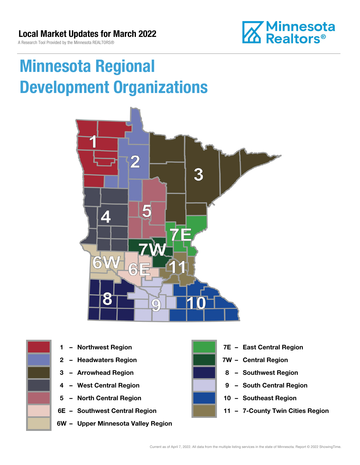A Research Tool Provided by the Minnesota REALTORS®



# Minnesota Regional Development Organizations





- 
- 
- 
- 
- 5 North Central Region 10 Southeast Region
- 
- 6W Upper Minnesota Valley Region



- 1 Northwest Region **1 1999 12 Property Contral Region**
- 2 Headwaters Region **1988 7W Central Region**
- 3 Arrowhead Region **8 Southwest Region**
- 4 West Central Region **19 South Central Region** 
	-
- 6E Southwest Central Region 11 7-County Twin Cities Region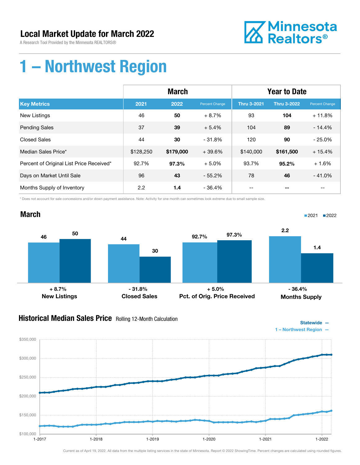A Research Tool Provided by the Minnesota REALTORS®



# 1 – Northwest Region

|                                          | <b>March</b> |           |                | <b>Year to Date</b> |                    |                |
|------------------------------------------|--------------|-----------|----------------|---------------------|--------------------|----------------|
| <b>Key Metrics</b>                       | 2021         | 2022      | Percent Change | <b>Thru 3-2021</b>  | <b>Thru 3-2022</b> | Percent Change |
| <b>New Listings</b>                      | 46           | 50        | $+8.7%$        | 93                  | 104                | $+11.8%$       |
| <b>Pending Sales</b>                     | 37           | 39        | $+5.4%$        | 104                 | 89                 | $-14.4%$       |
| <b>Closed Sales</b>                      | 44           | 30        | $-31.8%$       | 120                 | 90                 | $-25.0%$       |
| Median Sales Price*                      | \$128,250    | \$179,000 | $+39.6%$       | \$140,000           | \$161,500          | $+15.4%$       |
| Percent of Original List Price Received* | 92.7%        | 97.3%     | $+5.0%$        | 93.7%               | 95.2%              | $+1.6%$        |
| Days on Market Until Sale                | 96           | 43        | $-55.2%$       | 78                  | 46                 | $-41.0%$       |
| Months Supply of Inventory               | 2.2          | 1.4       | $-36.4%$       |                     |                    |                |

\* Does not account for sale concessions and/or down payment assistance. Note: Activity for one month can sometimes look extreme due to small sample size.



### **Historical Median Sales Price** Rolling 12-Month Calculation



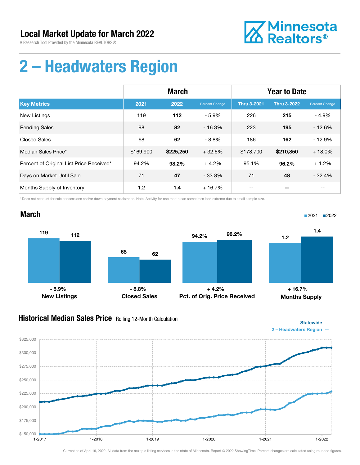A Research Tool Provided by the Minnesota REALTORS®



Statewide —

■2021 2022

# 2 – Headwaters Region

|                                          | <b>March</b> |           |                       | <b>Year to Date</b> |                    |                |
|------------------------------------------|--------------|-----------|-----------------------|---------------------|--------------------|----------------|
| <b>Key Metrics</b>                       | 2021         | 2022      | <b>Percent Change</b> | <b>Thru 3-2021</b>  | <b>Thru 3-2022</b> | Percent Change |
| <b>New Listings</b>                      | 119          | 112       | $-5.9%$               | 226                 | 215                | $-4.9%$        |
| <b>Pending Sales</b>                     | 98           | 82        | $-16.3%$              | 223                 | 195                | $-12.6%$       |
| <b>Closed Sales</b>                      | 68           | 62        | $-8.8%$               | 186                 | 162                | $-12.9%$       |
| Median Sales Price*                      | \$169,900    | \$225,250 | $+32.6%$              | \$178,700           | \$210,850          | $+18.0%$       |
| Percent of Original List Price Received* | 94.2%        | 98.2%     | $+4.2%$               | 95.1%               | 96.2%              | $+1.2%$        |
| Days on Market Until Sale                | 71           | 47        | $-33.8\%$             | 71                  | 48                 | $-32.4%$       |
| Months Supply of Inventory               | 1.2          | 1.4       | $+16.7%$              |                     | --                 | --             |

\* Does not account for sale concessions and/or down payment assistance. Note: Activity for one month can sometimes look extreme due to small sample size.

#### March



### Historical Median Sales Price Rolling 12-Month Calculation

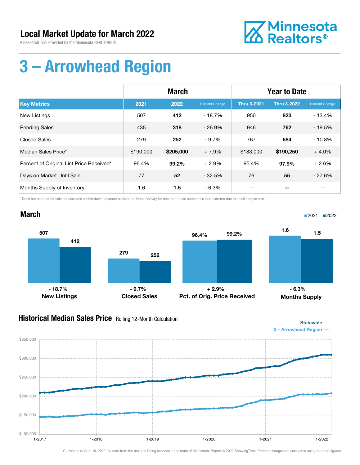A Research Tool Provided by the Minnesota REALTORS®



# 3 – Arrowhead Region

|                                          | <b>March</b> |           |                | <b>Year to Date</b> |                    |                |
|------------------------------------------|--------------|-----------|----------------|---------------------|--------------------|----------------|
| <b>Key Metrics</b>                       | 2021         | 2022      | Percent Change | <b>Thru 3-2021</b>  | <b>Thru 3-2022</b> | Percent Change |
| <b>New Listings</b>                      | 507          | 412       | $-18.7%$       | 950                 | 823                | $-13.4%$       |
| <b>Pending Sales</b>                     | 435          | 318       | $-26.9%$       | 946                 | 762                | $-19.5%$       |
| <b>Closed Sales</b>                      | 279          | 252       | $-9.7%$        | 767                 | 684                | $-10.8%$       |
| Median Sales Price*                      | \$190,000    | \$205,000 | $+7.9%$        | \$183,000           | \$190,250          | $+4.0%$        |
| Percent of Original List Price Received* | 96.4%        | 99.2%     | $+2.9%$        | 95.4%               | 97.9%              | $+2.6%$        |
| Days on Market Until Sale                | 77           | 52        | $-32.5%$       | 76                  | 55                 | $-27.6%$       |
| Months Supply of Inventory               | 1.6          | 1.5       | - 6.3%         | --                  |                    | --             |

\* Does not account for sale concessions and/or down payment assistance. Note: Activity for one month can sometimes look extreme due to small sample size.

#### March 507 279 412 252 New Listings Closed Sales 96.4% 99.2% Pct. of Orig. Price Received 1.6  $1.5$ Months Supply ■2021 2022  $-3.7\%$  - 9.7%  $+2.9\%$  - 2.9%  $-6.3\%$

### **Historical Median Sales Price** Rolling 12-Month Calculation



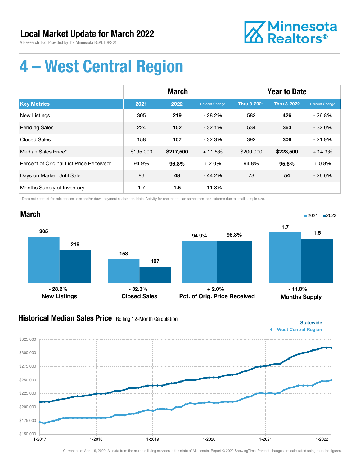A Research Tool Provided by the Minnesota REALTORS®



Statewide —

# 4 – West Central Region

|                                          | <b>March</b> |           |                | <b>Year to Date</b> |                    |                |
|------------------------------------------|--------------|-----------|----------------|---------------------|--------------------|----------------|
| <b>Key Metrics</b>                       | 2021         | 2022      | Percent Change | <b>Thru 3-2021</b>  | <b>Thru 3-2022</b> | Percent Change |
| New Listings                             | 305          | 219       | $-28.2\%$      | 582                 | 426                | $-26.8%$       |
| <b>Pending Sales</b>                     | 224          | 152       | $-32.1%$       | 534                 | 363                | $-32.0%$       |
| <b>Closed Sales</b>                      | 158          | 107       | $-32.3%$       | 392                 | 306                | $-21.9%$       |
| Median Sales Price*                      | \$195,000    | \$217,500 | $+11.5%$       | \$200,000           | \$228,500          | $+14.3%$       |
| Percent of Original List Price Received* | 94.9%        | 96.8%     | $+2.0%$        | 94.8%               | 95.6%              | $+0.8%$        |
| Days on Market Until Sale                | 86           | 48        | $-44.2%$       | 73                  | 54                 | $-26.0%$       |
| Months Supply of Inventory               | 1.7          | 1.5       | $-11.8%$       |                     |                    |                |

\* Does not account for sale concessions and/or down payment assistance. Note: Activity for one month can sometimes look extreme due to small sample size.



### Historical Median Sales Price Rolling 12-Month Calculation

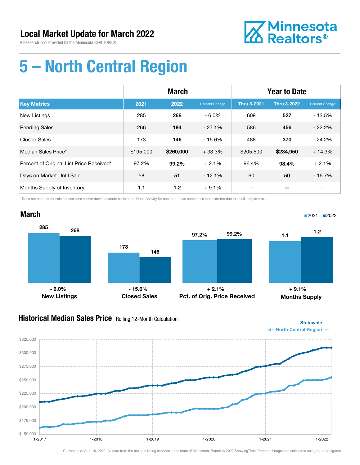A Research Tool Provided by the Minnesota REALTORS®



Statewide —

# 5 – North Central Region

|                                          | <b>March</b> |           |                | <b>Year to Date</b> |                    |                |
|------------------------------------------|--------------|-----------|----------------|---------------------|--------------------|----------------|
| <b>Key Metrics</b>                       | 2021         | 2022      | Percent Change | <b>Thru 3-2021</b>  | <b>Thru 3-2022</b> | Percent Change |
| <b>New Listings</b>                      | 285          | 268       | $-6.0\%$       | 609                 | 527                | $-13.5%$       |
| <b>Pending Sales</b>                     | 266          | 194       | $-27.1%$       | 586                 | 456                | $-22.2%$       |
| <b>Closed Sales</b>                      | 173          | 146       | $-15.6%$       | 488                 | 370                | $-24.2%$       |
| Median Sales Price*                      | \$195,000    | \$260,000 | $+33.3%$       | \$205,500           | \$234,950          | $+14.3%$       |
| Percent of Original List Price Received* | 97.2%        | 99.2%     | $+2.1%$        | 96.4%               | 98.4%              | $+2.1%$        |
| Days on Market Until Sale                | 58           | 51        | $-12.1%$       | 60                  | 50                 | $-16.7%$       |
| Months Supply of Inventory               | 1.1          | 1.2       | $+9.1%$        | --                  |                    | --             |

\* Does not account for sale concessions and/or down payment assistance. Note: Activity for one month can sometimes look extreme due to small sample size.

#### March 285 173 268 146 New Listings Closed Sales 97.2% 99.2% Pct. of Orig. Price Received 1.1 1.2 Months Supply ■2021 2022  $-6.0\%$  - 6.0% + 9.1% + 9.1% + 9.1% + 9.1% + 9.1% + 9.1% + 9.1% + 9.1% + 9.1% + 9.1% + 9.1% + 9.1% + 9.1% + 9.1% + 9.1% + 9.1% + 9.1% + 9.1% + 9.1% + 9.1% + 9.1% + 9.1% + 9.1% + 9.1% + 9.1% + 9.1% + 9.1% + 9.1% + 9.1% +

### Historical Median Sales Price Rolling 12-Month Calculation

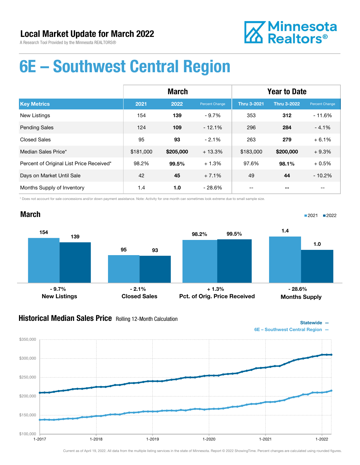A Research Tool Provided by the Minnesota REALTORS®



## 6E – Southwest Central Region

|                                          | <b>March</b> |           |                | <b>Year to Date</b> |                    |                |
|------------------------------------------|--------------|-----------|----------------|---------------------|--------------------|----------------|
| <b>Key Metrics</b>                       | 2021         | 2022      | Percent Change | <b>Thru 3-2021</b>  | <b>Thru 3-2022</b> | Percent Change |
| <b>New Listings</b>                      | 154          | 139       | $-9.7%$        | 353                 | 312                | $-11.6%$       |
| <b>Pending Sales</b>                     | 124          | 109       | $-12.1%$       | 296                 | 284                | $-4.1%$        |
| <b>Closed Sales</b>                      | 95           | 93        | $-2.1%$        | 263                 | 279                | $+6.1%$        |
| Median Sales Price*                      | \$181,000    | \$205,000 | $+13.3%$       | \$183,000           | \$200,000          | $+9.3%$        |
| Percent of Original List Price Received* | 98.2%        | 99.5%     | $+1.3%$        | 97.6%               | 98.1%              | $+0.5%$        |
| Days on Market Until Sale                | 42           | 45        | $+7.1%$        | 49                  | 44                 | $-10.2%$       |
| Months Supply of Inventory               | 1.4          | 1.0       | $-28.6%$       |                     |                    |                |

\* Does not account for sale concessions and/or down payment assistance. Note: Activity for one month can sometimes look extreme due to small sample size.

#### March



#### **Historical Median Sales Price** Rolling 12-Month Calculation



■2021 2022

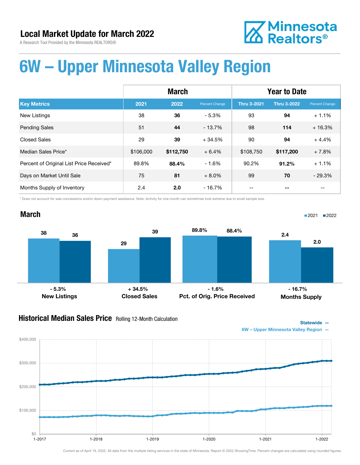



## 6W – Upper Minnesota Valley Region

|                                          | <b>March</b> |           |                | <b>Year to Date</b> |                    |                       |
|------------------------------------------|--------------|-----------|----------------|---------------------|--------------------|-----------------------|
| <b>Key Metrics</b>                       | 2021         | 2022      | Percent Change | <b>Thru 3-2021</b>  | <b>Thru 3-2022</b> | <b>Percent Change</b> |
| <b>New Listings</b>                      | 38           | 36        | $-5.3%$        | 93                  | 94                 | $+1.1%$               |
| <b>Pending Sales</b>                     | 51           | 44        | $-13.7%$       | 98                  | 114                | $+16.3%$              |
| <b>Closed Sales</b>                      | 29           | 39        | $+34.5%$       | 90                  | 94                 | $+4.4%$               |
| Median Sales Price*                      | \$106,000    | \$112,750 | $+6.4%$        | \$108,750           | \$117,200          | $+7.8%$               |
| Percent of Original List Price Received* | 89.8%        | 88.4%     | $-1.6%$        | 90.2%               | 91.2%              | $+1.1%$               |
| Days on Market Until Sale                | 75           | 81        | $+8.0%$        | 99                  | 70                 | $-29.3%$              |
| Months Supply of Inventory               | 2.4          | 2.0       | $-16.7\%$      |                     | --                 |                       |

\* Does not account for sale concessions and/or down payment assistance. Note: Activity for one month can sometimes look extreme due to small sample size.



#### **Historical Median Sales Price** Rolling 12-Month Calculation



6W – Upper Minnesota Valley Region —

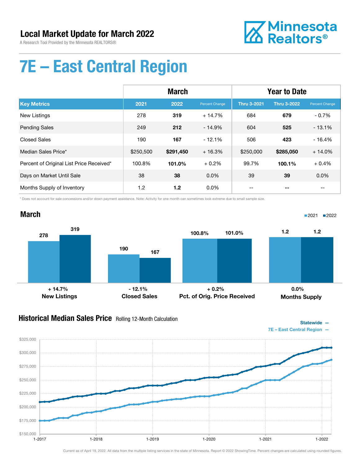A Research Tool Provided by the Minnesota REALTORS®



Statewide —

■2021 2022

# 7E – East Central Region

|                                          | <b>March</b> |           |                | <b>Year to Date</b> |                    |                |
|------------------------------------------|--------------|-----------|----------------|---------------------|--------------------|----------------|
| <b>Key Metrics</b>                       | 2021         | 2022      | Percent Change | <b>Thru 3-2021</b>  | <b>Thru 3-2022</b> | Percent Change |
| <b>New Listings</b>                      | 278          | 319       | $+14.7%$       | 684                 | 679                | $-0.7%$        |
| <b>Pending Sales</b>                     | 249          | 212       | $-14.9%$       | 604                 | 525                | $-13.1%$       |
| <b>Closed Sales</b>                      | 190          | 167       | $-12.1%$       | 506                 | 423                | $-16.4%$       |
| Median Sales Price*                      | \$250,500    | \$291,450 | $+16.3%$       | \$250,000           | \$285,050          | $+14.0%$       |
| Percent of Original List Price Received* | 100.8%       | 101.0%    | $+0.2%$        | 99.7%               | 100.1%             | $+0.4%$        |
| Days on Market Until Sale                | 38           | 38        | $0.0\%$        | 39                  | 39                 | 0.0%           |
| Months Supply of Inventory               | 1.2          | 1.2       | $0.0\%$        | --                  |                    | --             |

\* Does not account for sale concessions and/or down payment assistance. Note: Activity for one month can sometimes look extreme due to small sample size.

#### March



#### **Historical Median Sales Price** Rolling 12-Month Calculation

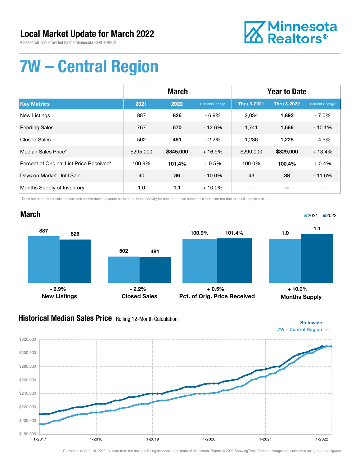A Research Tool Provided by the Minnesota REALTORS®



# 7W – Central Region

|                                          | <b>March</b> |           |                | <b>Year to Date</b> |                    |                |
|------------------------------------------|--------------|-----------|----------------|---------------------|--------------------|----------------|
| <b>Key Metrics</b>                       | 2021         | 2022      | Percent Change | <b>Thru 3-2021</b>  | <b>Thru 3-2022</b> | Percent Change |
| New Listings                             | 887          | 826       | $-6.9%$        | 2,034               | 1,892              | $-7.0\%$       |
| <b>Pending Sales</b>                     | 767          | 670       | $-12.6%$       | 1,741               | 1,566              | $-10.1%$       |
| <b>Closed Sales</b>                      | 502          | 491       | $-2.2%$        | 1,286               | 1,228              | $-4.5%$        |
| Median Sales Price*                      | \$295,000    | \$345,000 | $+16.9%$       | \$290,000           | \$329,000          | $+13.4%$       |
| Percent of Original List Price Received* | 100.9%       | 101.4%    | $+0.5%$        | 100.0%              | 100.4%             | $+0.4%$        |
| Days on Market Until Sale                | 40           | 36        | $-10.0\%$      | 43                  | 38                 | $-11.6%$       |
| Months Supply of Inventory               | 1.0          | 1.1       | $+10.0\%$      | --                  |                    | --             |

\* Does not account for sale concessions and/or down payment assistance. Note: Activity for one month can sometimes look extreme due to small sample size.

#### March 887 502 826 491 New Listings Closed Sales 100.9% 101.4% Pct. of Orig. Price Received 1.0 1.1 Months Supply ■2021 2022 - 6.9% - 2.2% + 0.5% + 10.0%

### Historical Median Sales Price Rolling 12-Month Calculation

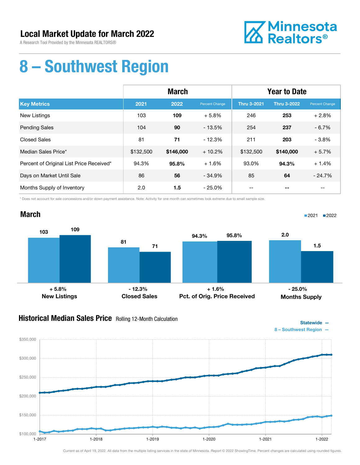A Research Tool Provided by the Minnesota REALTORS®



# 8 – Southwest Region

|                                          | <b>March</b> |           |                | <b>Year to Date</b> |                    |                |
|------------------------------------------|--------------|-----------|----------------|---------------------|--------------------|----------------|
| <b>Key Metrics</b>                       | 2021         | 2022      | Percent Change | <b>Thru 3-2021</b>  | <b>Thru 3-2022</b> | Percent Change |
| New Listings                             | 103          | 109       | $+5.8%$        | 246                 | 253                | $+2.8%$        |
| <b>Pending Sales</b>                     | 104          | 90        | $-13.5%$       | 254                 | 237                | $-6.7%$        |
| <b>Closed Sales</b>                      | 81           | 71        | $-12.3%$       | 211                 | 203                | $-3.8%$        |
| Median Sales Price*                      | \$132,500    | \$146,000 | $+10.2%$       | \$132,500           | \$140,000          | $+5.7%$        |
| Percent of Original List Price Received* | 94.3%        | 95.8%     | $+1.6%$        | 93.0%               | 94.3%              | $+1.4%$        |
| Days on Market Until Sale                | 86           | 56        | $-34.9%$       | 85                  | 64                 | $-24.7%$       |
| Months Supply of Inventory               | 2.0          | 1.5       | $-25.0%$       | --                  |                    | $- -$          |

\* Does not account for sale concessions and/or down payment assistance. Note: Activity for one month can sometimes look extreme due to small sample size.

#### March



### **Historical Median Sales Price** Rolling 12-Month Calculation



■2021 2022

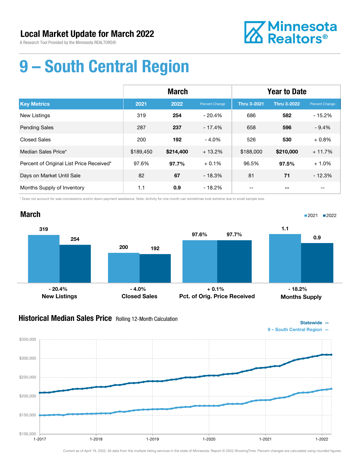A Research Tool Provided by the Minnesota REALTORS®



# 9 – South Central Region

|                                          | <b>March</b> |           |                | <b>Year to Date</b> |                    |                |
|------------------------------------------|--------------|-----------|----------------|---------------------|--------------------|----------------|
| <b>Key Metrics</b>                       | 2021         | 2022      | Percent Change | <b>Thru 3-2021</b>  | <b>Thru 3-2022</b> | Percent Change |
| <b>New Listings</b>                      | 319          | 254       | $-20.4%$       | 686                 | 582                | $-15.2%$       |
| <b>Pending Sales</b>                     | 287          | 237       | $-17.4%$       | 658                 | 596                | $-9.4%$        |
| <b>Closed Sales</b>                      | 200          | 192       | $-4.0%$        | 526                 | 530                | $+0.8%$        |
| Median Sales Price*                      | \$189,450    | \$214,400 | $+13.2%$       | \$188,000           | \$210,000          | $+11.7%$       |
| Percent of Original List Price Received* | 97.6%        | 97.7%     | $+0.1%$        | 96.5%               | 97.5%              | $+1.0%$        |
| Days on Market Until Sale                | 82           | 67        | $-18.3%$       | 81                  | 71                 | $-12.3%$       |
| Months Supply of Inventory               | 1.1          | 0.9       | - 18.2%        | --                  |                    | --             |

\* Does not account for sale concessions and/or down payment assistance. Note: Activity for one month can sometimes look extreme due to small sample size.



### Historical Median Sales Price Rolling 12-Month Calculation



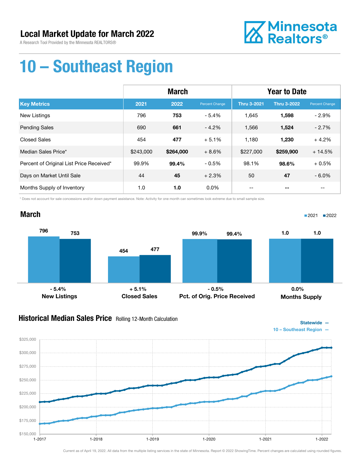A Research Tool Provided by the Minnesota REALTORS®



Statewide —

■2021 2022

# 10 – Southeast Region

|                                          | <b>March</b> |           |                | <b>Year to Date</b> |                    |                |
|------------------------------------------|--------------|-----------|----------------|---------------------|--------------------|----------------|
| <b>Key Metrics</b>                       | 2021         | 2022      | Percent Change | <b>Thru 3-2021</b>  | <b>Thru 3-2022</b> | Percent Change |
| <b>New Listings</b>                      | 796          | 753       | $-5.4%$        | 1,645               | 1,598              | $-2.9%$        |
| <b>Pending Sales</b>                     | 690          | 661       | $-4.2%$        | 1,566               | 1,524              | $-2.7%$        |
| <b>Closed Sales</b>                      | 454          | 477       | $+5.1%$        | 1,180               | 1,230              | $+4.2%$        |
| Median Sales Price*                      | \$243,000    | \$264,000 | $+8.6%$        | \$227,000           | \$259,900          | $+14.5%$       |
| Percent of Original List Price Received* | 99.9%        | 99.4%     | $-0.5%$        | 98.1%               | 98.6%              | $+0.5%$        |
| Days on Market Until Sale                | 44           | 45        | $+2.3%$        | 50                  | 47                 | $-6.0%$        |
| Months Supply of Inventory               | 1.0          | 1.0       | $0.0\%$        |                     |                    | $- -$          |

\* Does not account for sale concessions and/or down payment assistance. Note: Activity for one month can sometimes look extreme due to small sample size.

#### March



### Historical Median Sales Price Rolling 12-Month Calculation